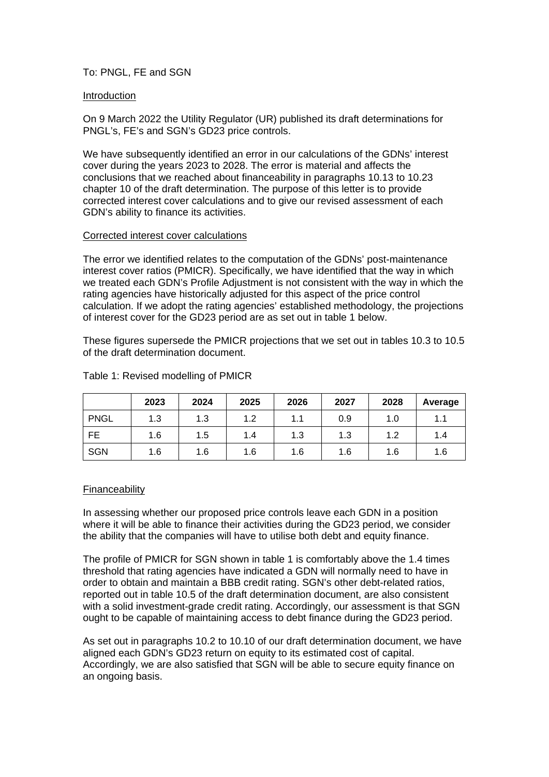# To: PNGL, FE and SGN

## Introduction

On 9 March 2022 the Utility Regulator (UR) published its draft determinations for PNGL's, FE's and SGN's GD23 price controls.

We have subsequently identified an error in our calculations of the GDNs' interest cover during the years 2023 to 2028. The error is material and affects the conclusions that we reached about financeability in paragraphs 10.13 to 10.23 chapter 10 of the draft determination. The purpose of this letter is to provide corrected interest cover calculations and to give our revised assessment of each GDN's ability to finance its activities.

### Corrected interest cover calculations

The error we identified relates to the computation of the GDNs' post-maintenance interest cover ratios (PMICR). Specifically, we have identified that the way in which we treated each GDN's Profile Adjustment is not consistent with the way in which the rating agencies have historically adjusted for this aspect of the price control calculation. If we adopt the rating agencies' established methodology, the projections of interest cover for the GD23 period are as set out in table 1 below.

These figures supersede the PMICR projections that we set out in tables 10.3 to 10.5 of the draft determination document.

|             | 2023 | 2024 | 2025 | 2026 | 2027 | 2028 | Average |
|-------------|------|------|------|------|------|------|---------|
| <b>PNGL</b> | 1.3  | 1.3  | 1.2  | 1.1  | 0.9  | 1.0  | 1.1     |
| <b>FE</b>   | 1.6  | 1.5  | 1.4  | 1.3  | 1.3  | 1.2  | 1.4     |
| <b>SGN</b>  | 1.6  | 1.6  | 1.6  | 1.6  | 1.6  | 1.6  | 1.6     |

# Table 1: Revised modelling of PMICR

### Financeability

In assessing whether our proposed price controls leave each GDN in a position where it will be able to finance their activities during the GD23 period, we consider the ability that the companies will have to utilise both debt and equity finance.

The profile of PMICR for SGN shown in table 1 is comfortably above the 1.4 times threshold that rating agencies have indicated a GDN will normally need to have in order to obtain and maintain a BBB credit rating. SGN's other debt-related ratios, reported out in table 10.5 of the draft determination document, are also consistent with a solid investment-grade credit rating. Accordingly, our assessment is that SGN ought to be capable of maintaining access to debt finance during the GD23 period.

As set out in paragraphs 10.2 to 10.10 of our draft determination document, we have aligned each GDN's GD23 return on equity to its estimated cost of capital. Accordingly, we are also satisfied that SGN will be able to secure equity finance on an ongoing basis.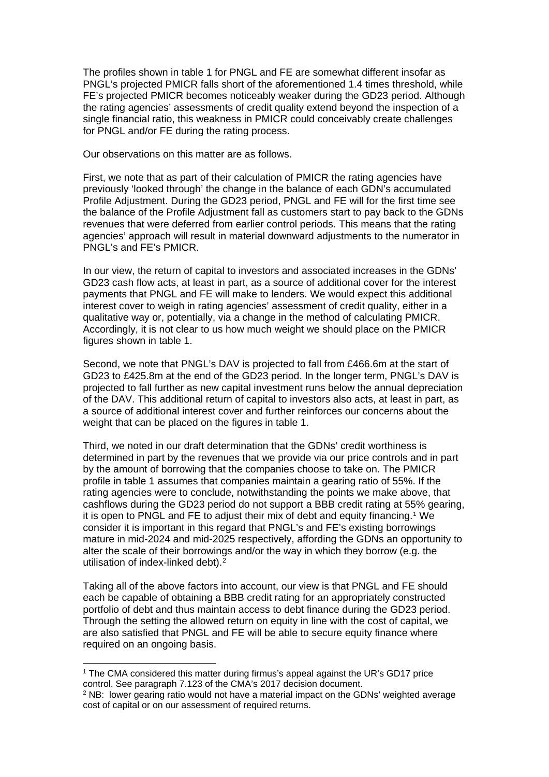The profiles shown in table 1 for PNGL and FE are somewhat different insofar as PNGL's projected PMICR falls short of the aforementioned 1.4 times threshold, while FE's projected PMICR becomes noticeably weaker during the GD23 period. Although the rating agencies' assessments of credit quality extend beyond the inspection of a single financial ratio, this weakness in PMICR could conceivably create challenges for PNGL and/or FE during the rating process.

Our observations on this matter are as follows.

First, we note that as part of their calculation of PMICR the rating agencies have previously 'looked through' the change in the balance of each GDN's accumulated Profile Adjustment. During the GD23 period, PNGL and FE will for the first time see the balance of the Profile Adjustment fall as customers start to pay back to the GDNs revenues that were deferred from earlier control periods. This means that the rating agencies' approach will result in material downward adjustments to the numerator in PNGL's and FE's PMICR.

In our view, the return of capital to investors and associated increases in the GDNs' GD23 cash flow acts, at least in part, as a source of additional cover for the interest payments that PNGL and FE will make to lenders. We would expect this additional interest cover to weigh in rating agencies' assessment of credit quality, either in a qualitative way or, potentially, via a change in the method of calculating PMICR. Accordingly, it is not clear to us how much weight we should place on the PMICR figures shown in table 1.

Second, we note that PNGL's DAV is projected to fall from £466.6m at the start of GD23 to £425.8m at the end of the GD23 period. In the longer term, PNGL's DAV is projected to fall further as new capital investment runs below the annual depreciation of the DAV. This additional return of capital to investors also acts, at least in part, as a source of additional interest cover and further reinforces our concerns about the weight that can be placed on the figures in table 1.

Third, we noted in our draft determination that the GDNs' credit worthiness is determined in part by the revenues that we provide via our price controls and in part by the amount of borrowing that the companies choose to take on. The PMICR profile in table 1 assumes that companies maintain a gearing ratio of 55%. If the rating agencies were to conclude, notwithstanding the points we make above, that cashflows during the GD23 period do not support a BBB credit rating at 55% gearing, it is open to PNGL and FE to adjust their mix of debt and equity financing.[1](#page-1-0) We consider it is important in this regard that PNGL's and FE's existing borrowings mature in mid-2024 and mid-2025 respectively, affording the GDNs an opportunity to alter the scale of their borrowings and/or the way in which they borrow (e.g. the utilisation of index-linked debt).<sup>[2](#page-1-1)</sup>

Taking all of the above factors into account, our view is that PNGL and FE should each be capable of obtaining a BBB credit rating for an appropriately constructed portfolio of debt and thus maintain access to debt finance during the GD23 period. Through the setting the allowed return on equity in line with the cost of capital, we are also satisfied that PNGL and FE will be able to secure equity finance where required on an ongoing basis.

<span id="page-1-0"></span><sup>1</sup> The CMA considered this matter during firmus's appeal against the UR's GD17 price control. See paragraph 7.123 of the CMA's 2017 decision document.

<span id="page-1-1"></span><sup>2</sup> NB: lower gearing ratio would not have a material impact on the GDNs' weighted average cost of capital or on our assessment of required returns.